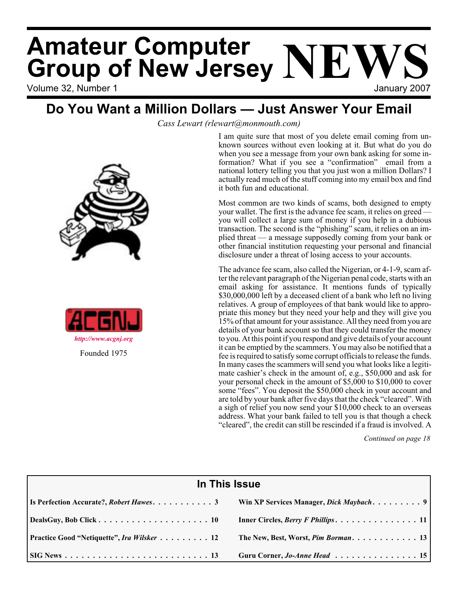# Volume 32, Number 1 January 2007 **Amateur Computer Group of New Jersey NEWS**

## **Do You Want a Million Dollars — Just Answer Your Email**

*Cass Lewart (rlewart@monmouth.com)*

I am quite sure that most of you delete email coming from unknown sources without even looking at it. But what do you do when you see a message from your own bank asking for some information? What if you see a "confirmation" email from a national lottery telling you that you just won a million Dollars? I actually read much of the stuff coming into my email box and find it both fun and educational.

Most common are two kinds of scams, both designed to empty your wallet. The first is the advance fee scam, it relies on greed you will collect a large sum of money if you help in a dubious transaction. The second is the "phishing" scam, it relies on an implied threat — a message supposedly coming from your bank or other financial institution requesting your personal and financial disclosure under a threat of losing access to your accounts.

The advance fee scam, also called the Nigerian, or 4-1-9, scam after the relevant paragraph of the Nigerian penal code, starts with an email asking for assistance. It mentions funds of typically \$30,000,000 left by a deceased client of a bank who left no living relatives. A group of employees of that bank would like to appropriate this money but they need your help and they will give you 15% of that amount for your assistance. All they need from you are details of your bank account so that they could transfer the money to you. At this point if you respond and give details of your account it can be emptied by the scammers. You may also be notified that a fee is required to satisfy some corrupt officials to release the funds. In many cases the scammers will send you what looks like a legitimate cashier's check in the amount of, e.g., \$50,000 and ask for your personal check in the amount of \$5,000 to \$10,000 to cover some "fees". You deposit the \$50,000 check in your account and are told by your bank after five days that the check "cleared". With a sigh of relief you now send your \$10,000 check to an overseas address. What your bank failed to tell you is that though a check "cleared", the credit can still be rescinded if a fraud is involved. A

*Continued on page 18*

| In This Issue                                     |                                                                                        |  |  |
|---------------------------------------------------|----------------------------------------------------------------------------------------|--|--|
| Is Perfection Accurate?, Robert Hawes3            |                                                                                        |  |  |
|                                                   | Inner Circles, <i>Berry F Phillips.</i> $\ldots \ldots \ldots \ldots \ldots \ldots 11$ |  |  |
| <b>Practice Good "Netiquette", Ira Wilsker 12</b> | The New, Best, Worst, Pim Borman 13                                                    |  |  |
|                                                   | Guru Corner, Jo-Anne Head  15                                                          |  |  |





Founded 1975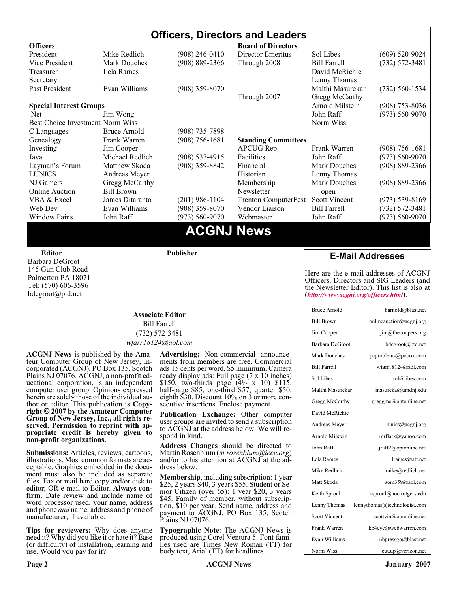## **Officers, Directors and Leaders**

| <b>Officers</b>                  |                     |                                                                       | <b>Board of Directors</b>   |                      |                    |
|----------------------------------|---------------------|-----------------------------------------------------------------------|-----------------------------|----------------------|--------------------|
| President                        | Mike Redlich        | (908) 246-0410                                                        | Director Emeritus           | Sol Libes            | $(609)$ 520-9024   |
| Vice President                   | <b>Mark Douches</b> | (908) 889-2366                                                        | Through 2008                | <b>Bill Farrell</b>  | $(732) 572 - 3481$ |
| Treasurer                        | Lela Rames          |                                                                       |                             | David McRichie       |                    |
| Secretary                        |                     |                                                                       |                             | Lenny Thomas         |                    |
| Past President                   | Evan Williams       | $(908)$ 359-8070                                                      |                             | Malthi Masurekar     | $(732)$ 560-1534   |
|                                  |                     |                                                                       | Through 2007                | Gregg McCarthy       |                    |
| <b>Special Interest Groups</b>   |                     |                                                                       |                             | Arnold Milstein      | $(908)$ 753-8036   |
| Net.                             | Jim Wong            |                                                                       |                             | John Raff            | $(973) 560 - 9070$ |
| Best Choice Investment Norm Wiss |                     |                                                                       |                             | Norm Wiss            |                    |
| C Languages                      | Bruce Arnold        | (908) 735-7898                                                        |                             |                      |                    |
| Genealogy                        | Frank Warren        | $(908) 756 - 1681$                                                    | <b>Standing Committees</b>  |                      |                    |
| Investing                        | Jim Cooper          |                                                                       | APCUG Rep.                  | Frank Warren         | $(908)$ 756-1681   |
| Java                             | Michael Redlich     | $(908) 537 - 4915$                                                    | Facilities                  | John Raff            | $(973) 560 - 9070$ |
| Layman's Forum                   | Matthew Skoda       | (908) 359-8842                                                        | Financial                   | <b>Mark Douches</b>  | $(908) 889 - 2366$ |
| <b>LUNICS</b>                    | Andreas Meyer       |                                                                       | Historian                   | Lenny Thomas         |                    |
| NJ Gamers                        | Gregg McCarthy      |                                                                       | Membership                  | <b>Mark Douches</b>  | $(908) 889 - 2366$ |
| <b>Online Auction</b>            | <b>Bill Brown</b>   |                                                                       | Newsletter                  | $\sim$ open $\sim$   |                    |
| VBA & Excel                      | James Ditaranto     | $(201)$ 986-1104                                                      | <b>Trenton ComputerFest</b> | <b>Scott Vincent</b> | $(973) 539 - 8169$ |
| Web Dev                          | Evan Williams       | $(908)$ 359-8070                                                      | Vendor Liaison              | <b>Bill Farrell</b>  | $(732) 572 - 3481$ |
| <b>Window Pains</b>              | John Raff           | $(973) 560 - 9070$                                                    | Webmaster                   | John Raff            | $(973) 560 - 9070$ |
|                                  |                     | $\bullet$ $\bullet$ $\bullet$ $\bullet$ $\bullet$ $\bullet$ $\bullet$ |                             |                      |                    |

## **ACGNJ News**

**Editor**

Barbara DeGroot 145 Gun Club Road Palmerton PA 18071 Tel: (570) 606-3596 bdegroot@ptd.net

#### **Publisher**

#### **Associate Editor** Bill Farrell (732) 572-3481 *wfarr18124@aol.com*

**ACGNJ News** is published by the Ama- teur Computer Group of New Jersey, In- corporated (ACGNJ), PO Box 135, Scotch Plains NJ 07076. ACGNJ, a non-profit ed-<br>ucational corporation, is an independent computer user group. Opinions expressed<br>herein are solely those of the individual author or editor. This publication is **Copy-**<br>right © 2007 by the Amateur Computer<br>Group of New Jersey, Inc., all rights re-**Group of New Jersey, Inc., all rights re- served. Permission to reprint with ap- propriate credit is hereby given to non-profit organizations.**

**Submissions:** Articles, reviews, cartoons, illustrations. Most common formats are acceptable. Graphics embedded in the docu-<br>ment must also be included as separate files. Fax or mail hard copy and/or disk to editor: OR e-mail to Editor. **Always con**firm. Date review and include name of word processor used, your name, address and phone *and* name, address and phone of manufacturer, if available.

**Tips for reviewers:** Why does anyone need it? Why did you like it or hate it? Ease (or difficulty) of installation, learning and use. Would you pay for it?

**Advertising:** Non-commercial announce- ments from members are free. Commercial ads 15 cents per word, \$5 minimum. Camera ready display ads: Full page (7 x 10 inches) \$150, two-thirds page (4½ x 10) \$115, half-page \$85, one-third \$57, quarter \$50, eighth \$30. Discount 10% on 3 or more con- secutive insertions. Enclose payment.

**Publication Exchange:** Other computer user groups are invited to send a subscription to ACGNJ at the address below. We will re- spond in kind.

**Address Changes** should be directed to Martin Rosenblum (*m.rosenblum@ieee.org*) and/or to his attention at ACGNJ at the ad- dress below.

**Membership**, including subscription: 1 year \$25, 2 years \$40, 3 years \$55. Student or Senior Citizen (over 65): 1 year \$20, 3 years \$45. Family of member, without subscription, \$10 per year. Send name, address and payment to ACGNJ, PO Box 135, Scotch Plains NJ 07076.

**Typographic Note**: The ACGNJ News is produced using Corel Ventura 5. Font fami- lies used are Times New Roman (TT) for body text, Arial (TT) for headlines.

### **E-Mail Addresses**

Here are the e-mail addresses of ACGNJ Officers, Directors and SIG Leaders (and the Newsletter Editor). This list is also at (*<http://www.acgnj.org/officers.html>*).

| <b>Bruce Arnold</b>  | barnold@blast.net              |
|----------------------|--------------------------------|
| <b>Bill Brown</b>    | onlineauction@acgnj.org        |
| Jim Cooper           | $\lim$ ( $a$ ) the coopers.org |
| Barbara DeGroot      | bdegroot@ptd.net               |
| <b>Mark Douches</b>  | pcproblems@pobox.com           |
| <b>Bill Farrell</b>  | wfarr18124@aol.com             |
| Sol Libes            | sol@libes.com                  |
| Malthi Masurekar     | masureka@umdnj.edu             |
| Gregg McCarthy       | greggmc@optonline.net          |
| David McRichie       |                                |
| Andreas Meyer        | lunics@acgni.org               |
| Arnold Milstein      | mrflark@yahoo.com              |
| John Raff            | jraff2@optonline.net           |
| Lela Rames           | lrames@att.net                 |
| Mike Redlich         | mike@redlich.net               |
| Matt Skoda           | som359@aol.com                 |
| Keith Sproul         | ksproul@noc.rutgers.edu        |
| Lenny Thomas         | lennythomas@technologist.com   |
| <b>Scott Vincent</b> | scottvin@optonline.net         |
| Frank Warren         | kb4cyc@webwarren.com           |
| Evan Williams        | nhpressgo@blast.net            |
| Norm Wiss            | cut.up@verizon.net             |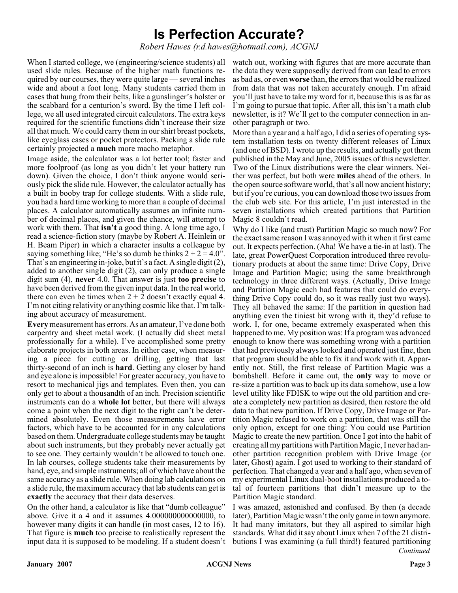## **Is Perfection Accurate?**

*Robert Hawes (r.d.hawes@hotmail.com), ACGNJ*

When I started college, we (engineering/science students) all used slide rules. Because of the higher math functions required by our courses, they were quite large — several inches wide and about a foot long. Many students carried them in cases that hung from their belts, like a gunslinger's holster or the scabbard for a centurion's sword. By the time I left college, we all used integrated circuit calculators. The extra keys required for the scientific functions didn't increase their size all that much. We could carry them in our shirt breast pockets, like eyeglass cases or pocket protectors. Packing a slide rule certainly projected a **much** more macho metaphor.

Image aside, the calculator was a lot better tool; faster and more foolproof (as long as you didn't let your battery run down). Given the choice, I don't think anyone would seriously pick the slide rule. However, the calculator actually has a built in booby trap for college students. With a slide rule, you had a hard time working to more than a couple of decimal places. A calculator automatically assumes an infinite number of decimal places, and given the chance, will attempt to work with them. That **isn't** a good thing. A long time ago, I read a science-fiction story (maybe by Robert A. Heinlein or H. Beam Piper) in which a character insults a colleague by saying something like; "He's so dumb he thinks  $2 + 2 = 4.0$ ". That's an engineering in-joke, but it's a fact. A single digit (2), added to another single digit (2), can only produce a single digit sum (4), **never** 4.0. That answer is just **too precise** to have been derived from the given input data. In the real world, there can even be times when  $2 + \overline{2}$  doesn't exactly equal 4. I'm not citing relativity or anything cosmic like that. I'm talking about accuracy of measurement.

**Every** measurement has errors. As an amateur, I've done both carpentry and sheet metal work. (I actually did sheet metal professionally for a while). I've accomplished some pretty elaborate projects in both areas. In either case, when measuring a piece for cutting or drilling, getting that last thirty-second of an inch is **hard**. Getting any closer by hand and eye alone is impossible! For greater accuracy, you have to resort to mechanical jigs and templates. Even then, you can only get to about a thousandth of an inch. Precision scientific instruments can do a **whole lot** better, but there will always come a point when the next digit to the right can't be determined absolutely. Even those measurements have error factors, which have to be accounted for in any calculations based on them. Undergraduate college students may be taught about such instruments, but they probably never actually get to see one. They certainly wouldn't be allowed to touch one. In lab courses, college students take their measurements by hand, eye, and simple instruments; all of which have about the same accuracy as a slide rule. When doing lab calculations on a slide rule, the maximum accuracy that lab students can get is **exactly** the accuracy that their data deserves.

On the other hand, a calculator is like that "dumb colleague" above. Give it a 4 and it assumes 4.000000000000000, to however many digits it can handle (in most cases, 12 to 16). That figure is **much** too precise to realistically represent the input data it is supposed to be modeling. If a student doesn't

watch out, working with figures that are more accurate than the data they were supposedly derived from can lead to errors as bad as, or even **worse** than, the errors that would be realized from data that was not taken accurately enough. I'm afraid you'll just have to take my word for it, because this is as far as I'm going to pursue that topic. After all, this isn't a math club newsletter, is it? We'll get to the computer connection in another paragraph or two.

More than a year and a half ago, I did a series of operating system installation tests on twenty different releases of Linux (and one of BSD). I wrote up the results, and actually got them published in the May and June, 2005 issues of this newsletter. Two of the Linux distributions were the clear winners. Neither was perfect, but both were **miles** ahead of the others. In the open source software world, that's all now ancient history; but if you're curious, you can download those two issues from the club web site. For this article, I'm just interested in the seven installations which created partitions that Partition Magic 8 couldn't read.

Why do I like (and trust) Partition Magic so much now? For the exact same reason I was annoyed with it when it first came out. It expects perfection. (Aha! We have a tie-in at last). The late, great PowerQuest Corporation introduced three revolutionary products at about the same time: Drive Copy, Drive Image and Partition Magic; using the same breakthrough technology in three different ways. (Actually, Drive Image and Partition Magic each had features that could do everything Drive Copy could do, so it was really just two ways). They all behaved the same: If the partition in question had anything even the tiniest bit wrong with it, they'd refuse to work. I, for one, became extremely exasperated when this happened to me. My position was: If a program was advanced enough to know there was something wrong with a partition that had previously always looked and operated just fine, then that program should be able to fix it and work with it. Apparently not. Still, the first release of Partition Magic was a bombshell. Before it came out, the **only** way to move or re-size a partition was to back up its data somehow, use a low level utility like FDISK to wipe out the old partition and create a completely new partition as desired, then restore the old data to that new partition. If Drive Copy, Drive Image or Partition Magic refused to work on a partition, that was still the only option, except for one thing: You could use Partition Magic to create the new partition. Once I got into the habit of creating all my partitions with Partition Magic, I never had another partition recognition problem with Drive Image (or later, Ghost) again. I got used to working to their standard of perfection. That changed a year and a half ago, when seven of my experimental Linux dual-boot installations produced a total of fourteen partitions that didn't measure up to the Partition Magic standard.

I was amazed, astonished and confused. By then (a decade later), Partition Magic wasn't the only game in town anymore. It had many imitators, but they all aspired to similar high standards. What did it say about Linux when 7 of the 21 distributions I was examining (a full third!) featured partitioning *Continued*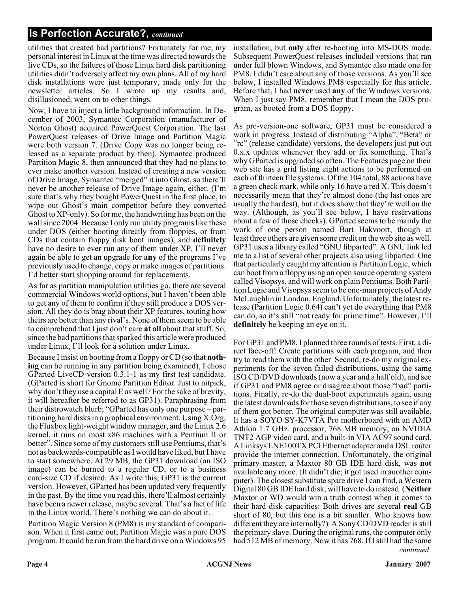utilities that created bad partitions? Fortunately for me, my personal interest in Linux at the time was directed towards the live CDs, so the failures of those Linux hard disk partitioning utilities didn't adversely affect my own plans. All of my hard disk installations were just temporary, made only for the newsletter articles. So I wrote up my results and, disillusioned, went on to other things.

Now, I have to inject a little background information. In December of 2003, Symantec Corporation (manufacturer of Norton Ghost) acquired PowerQuest Corporation. The last PowerQuest releases of Drive Image and Partition Magic were both version 7. (Drive Copy was no longer being released as a separate product by then). Symantec produced Partition Magic 8, then announced that they had no plans to ever make another version. Instead of creating a new version of Drive Image, Symantec "merged" it into Ghost, so there'll never be another release of Drive Image again, either. (I'm sure that's why they bought PowerQuest in the first place, to wipe out Ghost's main competitor before they converted Ghost to XP-only). So for me, the handwriting has been on the wall since 2004. Because I only run utility programs like these under DOS (either booting directly from floppies, or from CDs that contain floppy disk boot images), and **definitely** have no desire to ever run any of them under XP, I'll never again be able to get an upgrade for **any** of the programs I've previously used to change, copy or make images of partitions. I'd better start shopping around for replacements.

As far as partition manipulation utilities go, there are several commercial Windows world options, but I haven't been able to get any of them to confirm if they still produce a DOS version. All they do is brag about their XP features, touting how theirs are better than any rival's. None of them seem to be able to comprehend that I just don't care **at all** about that stuff. So, since the bad partitions that sparked this article were produced under Linux, I'll look for a solution under Linux.

Because I insist on booting from a floppy or CD (so that **nothing** can be running in any partition being examined), I chose GParted LiveCD version 0.3.1-1 as my first test candidate. (GParted is short for Gnome Partition Editor. Just to nitpick, why don't they use a capital E as well? For the sake of brevity, it will hereafter be referred to as GP31). Paraphrasing from their distrowatch blurb; "GParted has only one purpose – partitioning hard disks in a graphical environment. Using X.Org, the Fluxbox light-weight window manager, and the Linux 2.6 kernel, it runs on most x86 machines with a Pentium II or better". Since some of my customers still use Pentiums, that's not as backwards-compatible as I would have liked, but I have to start somewhere. At 29 MB, the GP31 download (an ISO image) can be burned to a regular CD, or to a business card-size CD if desired. As I write this, GP31 is the current version. However, GParted has been updated very frequently in the past. By the time you read this, there'll almost certainly have been a newer release, maybe several. That's a fact of life in the Linux world. There's nothing we can do about it.

Partition Magic Version 8 (PM8) is my standard of comparison. When it first came out, Partition Magic was a pure DOS program. It could be run from the hard drive on a Windows 95 installation, but **only** after re-booting into MS-DOS mode. Subsequent PowerQuest releases included versions that ran under full blown Windows, and Symantec also made one for PM8. I didn't care about any of those versions. As you'll see below, I installed Windows PM8 especially for this article. Before that, I had **never** used **any** of the Windows versions. When I just say PM8, remember that I mean the DOS program, as booted from a DOS floppy.

As pre-version-one software, GP31 must be considered a work in progress. Instead of distributing "Alpha", "Beta" or "rc" (release candidate) versions, the developers just put out 0.x.x updates whenever they add or fix something. That's why GParted is upgraded so often. The Features page on their web site has a grid listing eight actions to be performed on each of thirteen file systems. Of the 104 total, 88 actions have a green check mark, while only 16 have a red X. This doesn't necessarily mean that they're almost done (the last ones are usually the hardest), but it does show that they're well on the way. (Although, as you'll see below, I have reservations about a few of those checks). GParted seems to be mainly the work of one person named Bart Hakvoort, though at least three others are given some credit on the web site as well. GP31 uses a library called "GNU libparted". A GNU link led me to a list of several other projects also using libparted. One that particularly caught my attention is Partition Logic, which can boot from a floppy using an open source operating system called Visopsys, and will work on plain Pentiums. Both Partition Logic and Visopsys seem to be one-man projects of Andy McLaughlin in London, England. Unfortunately, the latest release (Partition Logic 0.64) can't yet do everything that PM8 can do, so it's still "not ready for prime time". However, I'll **definitely** be keeping an eye on it.

*continued* For GP31 and PM8, I planned three rounds of tests. First, a direct face-off: Create partitions with each program, and then try to read them with the other. Second, re-do my original experiments for the seven failed distributions, using the same ISO CD/DVD downloads (now a year and a half old), and see if GP31 and PM8 agree or disagree about those "bad" partitions. Finally, re-do the dual-boot experiments again, using the latest downloads for those seven distributions, to see if any of them got better. The original computer was still available. It has a SOYO SY-K7VTA Pro motherboard with an AMD Athlon 1.7 GHz. processor, 768 MB memory, an NVIDIA TNT2 AGP video card, and a built-in VIA AC97 sound card. A Linksys LNE100TX PCI Ethernet adapter and a DSL router provide the internet connection. Unfortunately, the original primary master, a Maxtor 80 GB IDE hard disk, was **not** available any more. (It didn't die; it got used in another computer). The closest substitute spare drive I can find, a Western Digital 80 GB IDE hard disk, will have to do instead. (**Neither** Maxtor or WD would win a truth contest when it comes to their hard disk capacities: Both drives are several **real** GB short of 80, but this one is a bit smaller. Who knows how different they are internally?) A Sony CD/DVD reader is still the primary slave. During the original runs, the computer only had 512 MB of memory. Now it has 768. If I still had the same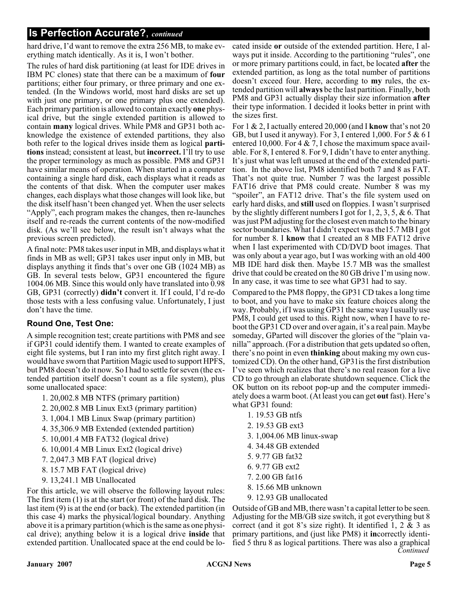hard drive, I'd want to remove the extra 256 MB, to make everything match identically. As it is, I won't bother.

The rules of hard disk partitioning (at least for IDE drives in IBM PC clones) state that there can be a maximum of **four** partitions; either four primary, or three primary and one extended. (In the Windows world, most hard disks are set up with just one primary, or one primary plus one extended). Each primary partition is allowed to contain exactly **one** physical drive, but the single extended partition is allowed to contain **many** logical drives. While PM8 and GP31 both acknowledge the existence of extended partitions, they also both refer to the logical drives inside them as logical **partitions** instead; consistent at least, but **incorrect.** I'll try to use the proper terminology as much as possible. PM8 and GP31 have similar means of operation. When started in a computer containing a single hard disk, each displays what it reads as the contents of that disk. When the computer user makes changes, each displays what those changes will look like, but the disk itself hasn't been changed yet. When the user selects "Apply", each program makes the changes, then re-launches itself and re-reads the current contents of the now-modified disk. (As we'll see below, the result isn't always what the previous screen predicted).

A final note: PM8 takes user input in MB, and displays what it finds in MB as well; GP31 takes user input only in MB, but displays anything it finds that's over one GB (1024 MB) as GB. In several tests below, GP31 encountered the figure 1004.06 MB. Since this would only have translated into 0.98 GB, GP31 (correctly) **didn't** convert it. If I could, I'd re-do those tests with a less confusing value. Unfortunately, I just don't have the time.

### **Round One, Test One:**

A simple recognition test; create partitions with PM8 and see if GP31 could identify them. I wanted to create examples of eight file systems, but I ran into my first glitch right away. I would have sworn that Partition Magic used to support HPFS, but PM8 doesn't do it now. So I had to settle for seven (the extended partition itself doesn't count as a file system), plus some unallocated space:

- 1. 20,002.8 MB NTFS (primary partition)
- 2. 20,002.8 MB Linux Ext3 (primary partition)
- 3. 1,004.1 MB Linux Swap (primary partition)
- 4. 35,306.9 MB Extended (extended partition)
- 5. 10,001.4 MB FAT32 (logical drive)
- 6. 10,001.4 MB Linux Ext2 (logical drive)
- 7. 2,047.3 MB FAT (logical drive)
- 8. 15.7 MB FAT (logical drive)
- 9. 13,241.1 MB Unallocated

For this article, we will observe the following layout rules: The first item (1) is at the start (or front) of the hard disk. The last item (9) is at the end (or back). The extended partition (in this case 4) marks the physical/logical boundary. Anything above it is a primary partition (which is the same as one physical drive); anything below it is a logical drive **inside** that extended partition. Unallocated space at the end could be lo-

cated inside **or** outside of the extended partition. Here, I always put it inside. According to the partitioning "rules", one or more primary partitions could, in fact, be located **after** the extended partition, as long as the total number of partitions doesn't exceed four. Here, according to **my** rules, the extended partition will **always** be the last partition. Finally, both PM8 and GP31 actually display their size information **after** their type information. I decided it looks better in print with the sizes first.

For 1 & 2, I actually entered 20,000 (and I **know** that's not 20 GB, but I used it anyway). For 3, I entered 1,000. For  $5 & 6$  I entered 10,000. For  $4 \& 7$ , I chose the maximum space available. For 8, I entered 8. For 9, I didn't have to enter anything. It's just what was left unused at the end of the extended partition. In the above list, PM8 identified both 7 and 8 as FAT. That's not quite true. Number 7 was the largest possible FAT16 drive that PM8 could create. Number 8 was my "spoiler", an FAT12 drive. That's the file system used on early hard disks, and **still** used on floppies. I wasn't surprised by the slightly different numbers I got for 1, 2, 3, 5, & 6. That was just PM adjusting for the closest even match to the binary sector boundaries. What I didn't expect was the15.7 MB I got for number 8. I **know** that I created an 8 MB FAT12 drive when I last experimented with CD/DVD boot images. That was only about a year ago, but I was working with an old 400 MB IDE hard disk then. Maybe 15.7 MB was the smallest drive that could be created on the 80 GB drive I'm using now. In any case, it was time to see what GP31 had to say.

Compared to the PM8 floppy, the GP31 CD takes a long time to boot, and you have to make six feature choices along the way. Probably, if I was using GP31 the same way I usually use PM8, I could get used to this. Right now, when I have to reboot the GP31 CD over and over again, it's a real pain. Maybe someday, GParted will discover the glories of the "plain vanilla" approach. (For a distribution that gets updated so often, there's no point in even **thinking** about making my own customized CD). On the other hand, GP31is the first distribution I've seen which realizes that there's no real reason for a live CD to go through an elaborate shutdown sequence. Click the OK button on its reboot pop-up and the computer immediately does a warm boot. (At least you can get **out** fast). Here's what GP31 found:

- 1. 19.53 GB ntfs
- 2. 19.53 GB ext3
- 3. 1,004.06 MB linux-swap
- 4. 34.48 GB extended
- 5. 9.77 GB fat32
- 6. 9.77 GB ext2
- 7. 2.00 GB fat16
- 8. 15.66 MB unknown
- 9. 12.93 GB unallocated

*Continued* Outside of GB and MB, there wasn't a capital letter to be seen. Adjusting for the MB/GB size switch, it got everything but 8 correct (and it got 8's size right). It identified 1, 2 & 3 as primary partitions, and (just like PM8) it **in**correctly identified 5 thru 8 as logical partitions. There was also a graphical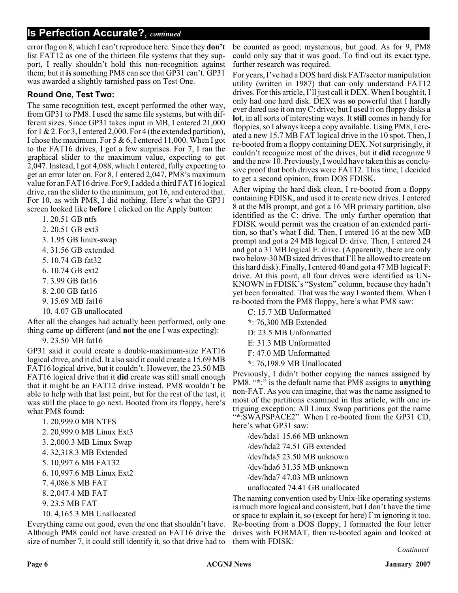error flag on 8, which I can't reproduce here. Since they **don't** list FAT12 as one of the thirteen file systems that they support, I really shouldn't hold this non-recognition against them; but it **is** something PM8 can see that GP31 can't. GP31 was awarded a slightly tarnished pass on Test One.

#### **Round One, Test Two:**

The same recognition test, except performed the other way, from GP31 to PM8. I used the same file systems, but with different sizes. Since GP31 takes input in MB, I entered 21,000 for 1 & 2. For 3, I entered 2,000. For 4 (the extended partition), I chose the maximum. For  $5 & 6$ , I entered 11,000. When I got to the FAT16 drives, I got a few surprises. For 7, I ran the graphical slider to the maximum value, expecting to get 2,047. Instead, I got 4,088, which I entered, fully expecting to get an error later on. For 8, I entered 2,047, PM8's maximum value for an FAT16 drive. For 9, I added a third FAT16 logical drive, ran the slider to the minimum, got 16, and entered that. For 10, as with PM8, I did nothing. Here's what the GP31 screen looked like **before** I clicked on the Apply button:

- 1. 20.51 GB ntfs
- 2. 20.51 GB ext3
- 3. 1.95 GB linux-swap
- 4. 31.56 GB extended
- 5. 10.74 GB fat32
- 6. 10.74 GB ext2
- 7. 3.99 GB fat16
- 8. 2.00 GB fat16
- 9. 15.69 MB fat16
- 10. 4.07 GB unallocated

After all the changes had actually been performed, only one thing came up different (and **not** the one I was expecting):

9. 23.50 MB fat16

GP31 said it could create a double-maximum-size FAT16 logical drive, and it did. It also said it could create a 15.69 MB FAT16 logical drive, but it couldn't. However, the 23.50 MB FAT16 logical drive that it **did** create was still small enough that it might be an FAT12 drive instead. PM8 wouldn't be able to help with that last point, but for the rest of the test, it was still the place to go next. Booted from its floppy, here's what PM8 found:

- 1. 20,999.0 MB NTFS
- 2. 20,999.0 MB Linux Ext3
- 3. 2,000.3 MB Linux Swap
- 4. 32,318.3 MB Extended
- 5. 10,997.6 MB FAT32
- 6. 10,997.6 MB Linux Ext2
- 7. 4,086.8 MB FAT
- 8. 2,047.4 MB FAT
- 9. 23.5 MB FAT
- 10. 4,165.3 MB Unallocated

Everything came out good, even the one that shouldn't have. Although PM8 could not have created an FAT16 drive the size of number 7, it could still identify it, so that drive had to

be counted as good; mysterious, but good. As for 9, PM8 could only say that it was good. To find out its exact type, further research was required.

For years, I've had a DOS hard disk FAT/sector manipulation utility (written in 1987) that can only understand FAT12 drives. For this article, I'll just call it DEX. When I bought it, I only had one hard disk. DEX was **so** powerful that I hardly ever dared use it on my C: drive; but I used it on floppy disks **a lot**, in all sorts of interesting ways. It **still** comes in handy for floppies, so I always keep a copy available. Using PM8, I created a new 15.7 MB FAT logical drive in the 10 spot. Then, I re-booted from a floppy containing DEX. Not surprisingly, it couldn't recognize most of the drives, but it **did** recognize 9 and the new 10. Previously, I would have taken this as conclusive proof that both drives were FAT12. This time, I decided to get a second opinion, from DOS FDISK.

After wiping the hard disk clean, I re-booted from a floppy containing FDISK, and used it to create new drives. I entered 8 at the MB prompt, and got a 16 MB primary partition, also identified as the C: drive. The only further operation that FDISK would permit was the creation of an extended partition, so that's what I did. Then, I entered 16 at the new MB prompt and got a 24 MB logical D: drive. Then, I entered 24 and got a 31 MB logical E: drive. (Apparently, there are only two below-30 MB sized drives that I'll be allowed to create on this hard disk). Finally, I entered 40 and got a 47 MB logical F: drive. At this point, all four drives were identified as UN-KNOWN in FDISK's "System" column, because they hadn't yet been formatted. That was the way I wanted them. When I re-booted from the PM8 floppy, here's what PM8 saw:

C: 15.7 MB Unformatted **\***: 76,300 MB Extended D: 23.5 MB Unformatted E: 31.3 MB Unformatted F: 47.0 MB Unformatted **\***: 76,198.9 MB Unallocated

Previously, I didn't bother copying the names assigned by PM8. "**\***:" is the default name that PM8 assigns to **anything** non-FAT. As you can imagine, that was the name assigned to most of the partitions examined in this article, with one intriguing exception: All Linux Swap partitions got the name "**\***:SWAPSPACE2". When I re-booted from the GP31 CD, here's what GP31 saw:

/dev/hda1 15.66 MB unknown /dev/hda2 74.51 GB extended /dev/hda5 23.50 MB unknown /dev/hda6 31.35 MB unknown /dev/hda7 47.03 MB unknown unallocated 74.41 GB unallocated

The naming convention used by Unix-like operating systems is much more logical and consistent, but I don't have the time or space to explain it, so (except for here) I'm ignoring it too. Re-booting from a DOS floppy, I formatted the four letter drives with FORMAT, then re-booted again and looked at them with FDISK:

*Continued*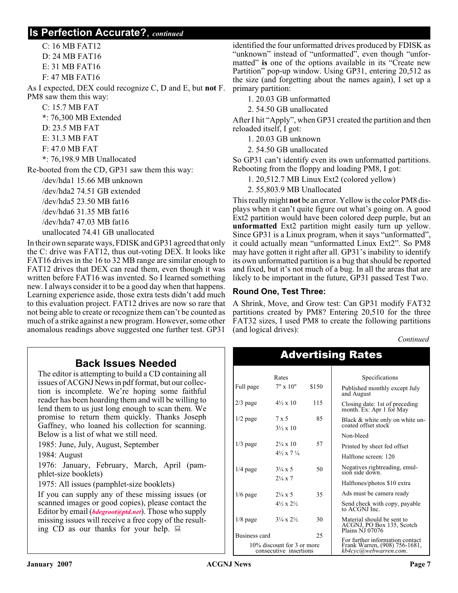C: 16 MB FAT12 D: 24 MB FAT16 E: 31 MB FAT16 F: 47 MB FAT16 As I expected, DEX could recognize C, D and E, but **not** F. PM8 saw them this way: C: 15.7 MB FAT **\***: 76,300 MB Extended D: 23.5 MB FAT E: 31.3 MB FAT F: 47.0 MB FAT **\***: 76,198.9 MB Unallocated Re-booted from the CD, GP31 saw them this way: /dev/hda1 15.66 MB unknown /dev/hda2 74.51 GB extended /dev/hda5 23.50 MB fat16 /dev/hda6 31.35 MB fat16 /dev/hda7 47.03 MB fat16 unallocated 74.41 GB unallocated In their own separate ways, FDISK and GP31 agreed that only

the C: drive was FAT12, thus out-voting DEX. It looks like FAT16 drives in the 16 to 32 MB range are similar enough to FAT12 drives that DEX can read them, even though it was written before FAT16 was invented. So I learned something new. I always consider it to be a good day when that happens. Learning experience aside, those extra tests didn't add much to this evaluation project. FAT12 drives are now so rare that not being able to create or recognize them can't be counted as much of a strike against a new program. However, some other anomalous readings above suggested one further test. GP31

## **Back Issues Needed**

The editor is attempting to build a CD containing all issues of ACGNJ News in pdf format, but our collection is incomplete. We're hoping some faithful reader has been hoarding them and will be willing to lend them to us just long enough to scan them. We promise to return them quickly. Thanks Joseph Gaffney, who loaned his collection for scanning. Below is a list of what we still need.

1985: June, July, August, September

1984: August

1976: January, February, March, April (pamphlet-size booklets)

1975: All issues (pamphlet-size booklets)

If you can supply any of these missing issues (or scanned images or good copies), please contact the Editor by email (*[bdegroot@ptd.net](mailto:bdegroot@ptd.net)*). Those who supply missing issues will receive a free copy of the resulting CD as our thanks for your help.  $\Box$ 

identified the four unformatted drives produced by FDISK as "unknown" instead of "unformatted", even though "unformatted" is one of the options available in its "Create new Partition" pop-up window. Using GP31, entering 20,512 as the size (and forgetting about the names again), I set up a primary partition:

1. 20.03 GB unformatted

2. 54.50 GB unallocated

After I hit "Apply", when GP31 created the partition and then reloaded itself, I got:

1. 20.03 GB unknown

2. 54.50 GB unallocated

So GP31 can't identify even its own unformatted partitions. Rebooting from the floppy and loading PM8, I got:

1. 20,512.7 MB Linux Ext2 (colored yellow)

2. 55,803.9 MB Unallocated

This really might **not** be an error. Yellow is the color PM8 displays when it can't quite figure out what's going on. A good Ext2 partition would have been colored deep purple, but an **unformatted** Ext2 partition might easily turn up yellow. Since GP31 is a Linux program, when it says "unformatted", it could actually mean "unformatted Linux Ext2". So PM8 may have gotten it right after all. GP31's inability to identify its own unformatted partition is a bug that should be reported and fixed, but it's not much of a bug. In all the areas that are likely to be important in the future, GP31 passed Test Two.

#### **Round One, Test Three:**

A Shrink, Move, and Grow test: Can GP31 modify FAT32 partitions created by PM8? Entering 20,510 for the three FAT32 sizes, I used PM8 to create the following partitions (and logical drives):

Advertising Rates

*Continued*

|               | Rates                                                |       | Specifications                                                             |  |
|---------------|------------------------------------------------------|-------|----------------------------------------------------------------------------|--|
| Full page     | $7" \times 10"$                                      | \$150 | Published monthly except July<br>and August                                |  |
| $2/3$ page    | $4\frac{1}{2} \times 10$                             | 115   | Closing date: 1st of preceding<br>month. Ex: Apr 1 for May                 |  |
| $1/2$ page    | $7 \times 5$<br>$3\frac{1}{2} \times 10$             | 85    | Black & white only on white un-<br>coated offset stock                     |  |
|               |                                                      |       | Non-bleed                                                                  |  |
| $1/3$ page    | $2\frac{1}{4} \times 10$                             | 57    | Printed by sheet fed offset                                                |  |
|               | $4\frac{1}{2} \times 7\frac{1}{4}$                   |       | Halftone screen: 120                                                       |  |
| $1/4$ page    | $3\frac{1}{4} \times 5$                              | 50    | Negatives rightreading, emul-<br>sion side down.                           |  |
|               | $2\frac{1}{4} \times 7$                              |       | Halftones/photos \$10 extra                                                |  |
| $1/6$ page    | $2\frac{1}{4} \times 5$                              | 35    | Ads must be camera ready                                                   |  |
|               | $4\frac{1}{2} \times 2\frac{1}{2}$                   |       | Send check with copy, payable<br>to ACGNJ Inc.                             |  |
| $1/8$ page    | $3\frac{1}{4} \times 2\frac{1}{2}$                   | 30    | Material should be sent to<br>ACGNJ, PO Box 135, Scotch<br>Plains NJ 07076 |  |
| Business card |                                                      | 25    | For further information contact                                            |  |
|               | 10% discount for 3 or more<br>consecutive insertions |       | Frank Warren, (908) 756-1681,<br>kb4cyc@webwarren.com.                     |  |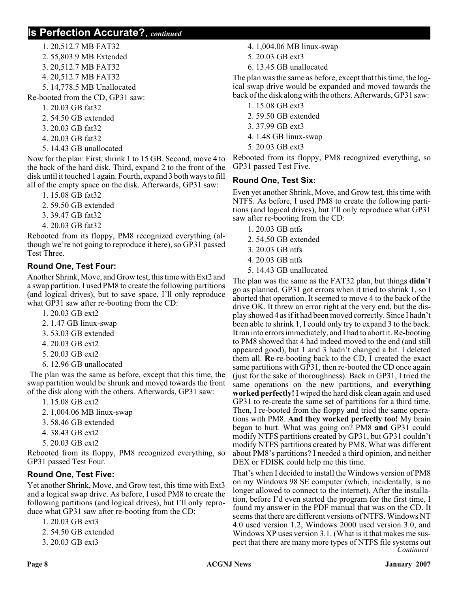- 1. 20,512.7 MB FAT32
- 2. 55,803.9 MB Extended
- 3. 20,512.7 MB FAT32
- 4. 20,512.7 MB FAT32
- 5. 14,778.5 MB Unallocated
- Re-booted from the CD, GP31 saw:
	- 1. 20.03 GB fat32
	- 2. 54.50 GB extended
	- 3. 20.03 GB fat32
	- 4. 20.03 GB fat32
	- 5. 14.43 GB unallocated

Now for the plan: First, shrink 1 to 15 GB. Second, move 4 to the back of the hard disk. Third, expand 2 to the front of the disk until it touched 1 again. Fourth, expand 3 both ways to fill all of the empty space on the disk. Afterwards, GP31 saw:

- 1. 15.08 GB fat32
- 2. 59.50 GB extended
- 3. 39.47 GB fat32
- 4. 20.03 GB fat32

Rebooted from its floppy, PM8 recognized everything (although we're not going to reproduce it here), so GP31 passed Test Three.

### **Round One, Test Four:**

Another Shrink, Move, and Grow test, this time with Ext2 and a swap partition. I used PM8 to create the following partitions (and logical drives), but to save space, I'll only reproduce what GP31 saw after re-booting from the CD:

- 1. 20.03 GB ext2
- 2. 1.47 GB linux-swap
- 3. 53.03 GB extended
- 4. 20.03 GB ext2
- 5. 20.03 GB ext2
- 6. 12.96 GB unallocated

The plan was the same as before, except that this time, the swap partition would be shrunk and moved towards the front of the disk along with the others. Afterwards, GP31 saw:

- 1. 15.08 GB ext2
- 2. 1,004.06 MB linux-swap
- 3. 58.46 GB extended
- 4. 38.43 GB ext2
- 5. 20.03 GB ext2

Rebooted from its floppy, PM8 recognized everything, so GP31 passed Test Four.

### **Round One, Test Five:**

Yet another Shrink, Move, and Grow test, this time with Ext3 and a logical swap drive. As before, I used PM8 to create the following partitions (and logical drives), but I'll only reproduce what GP31 saw after re-booting from the CD:

- 1. 20.03 GB ext3
- 2. 54.50 GB extended
- 3. 20.03 GB ext3
- 4. 1,004.06 MB linux-swap
- 5. 20.03 GB ext3
- 6. 13.45 GB unallocated

The plan was the same as before, except that this time, the logical swap drive would be expanded and moved towards the back of the disk along with the others. Afterwards, GP31 saw:

- 1. 15.08 GB ext3
- 2. 59.50 GB extended
- 3. 37.99 GB ext3
- 4. 1.48 GB linux-swap
- 5. 20.03 GB ext3

Rebooted from its floppy, PM8 recognized everything, so GP31 passed Test Five.

### **Round One, Test Six:**

Even yet another Shrink, Move, and Grow test, this time with NTFS. As before, I used PM8 to create the following partitions (and logical drives), but I'll only reproduce what GP31 saw after re-booting from the CD:

- 1. 20.03 GB ntfs
- 2. 54.50 GB extended
- 3. 20.03 GB ntfs
- 4. 20.03 GB ntfs
- 5. 14.43 GB unallocated

The plan was the same as the FAT32 plan, but things **didn't** go as planned. GP31 got errors when it tried to shrink 1, so I aborted that operation. It seemed to move 4 to the back of the drive OK. It threw an error right at the very end, but the display showed 4 as if it had been moved correctly. Since I hadn't been able to shrink 1, I could only try to expand 3 to the back. It ran into errors immediately, and I had to abort it. Re-booting to PM8 showed that 4 had indeed moved to the end (and still appeared good), but 1 and 3 hadn't changed a bit. I deleted them all. **Re**-re-booting back to the CD, I created the exact same partitions with GP31, then re-booted the CD once again (just for the sake of thoroughness). Back in GP31, I tried the same operations on the new partitions, and **everything worked perfectly!** I wiped the hard disk clean again and used GP31 to re-create the same set of partitions for a third time. Then, I re-booted from the floppy and tried the same operations with PM8. **And they worked perfectly too!** My brain began to hurt. What was going on? PM8 **and** GP31 could modify NTFS partitions created by GP31, but GP31 couldn't modify NTFS partitions created by PM8. What was different about PM8's partitions? I needed a third opinion, and neither DEX or FDISK could help me this time.

That's when I decided to install the Windows version of PM8 on my Windows 98 SE computer (which, incidentally, is no longer allowed to connect to the internet). After the installation, before I'd even started the program for the first time, I found my answer in the PDF manual that was on the CD. It seems that there are different versions of NTFS. Windows NT 4.0 used version 1.2, Windows 2000 used version 3.0, and Windows XP uses version 3.1. (What is it that makes me suspect that there are many more types of NTFS file systems out *Continued*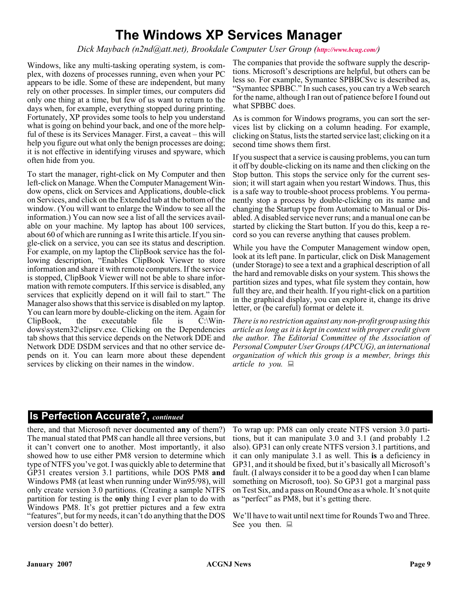## **The Windows XP Services Manager**

#### *Dick Maybach (n2nd@att.net), Brookdale Computer User Group (<http://www.bcug.com/>)*

Windows, like any multi-tasking operating system, is complex, with dozens of processes running, even when your PC appears to be idle. Some of these are independent, but many rely on other processes. In simpler times, our computers did only one thing at a time, but few of us want to return to the days when, for example, everything stopped during printing. Fortunately, XP provides some tools to help you understand what is going on behind your back, and one of the more helpful of these is its Services Manager. First, a caveat – this will help you figure out what only the benign processes are doing; it is not effective in identifying viruses and spyware, which often hide from you.

To start the manager, right-click on My Computer and then left-click on Manage. When the Computer Management Window opens, click on Services and Applications, double-click on Services, and click on the Extended tab at the bottom of the window. (You will want to enlarge the Window to see all the information.) You can now see a list of all the services available on your machine. My laptop has about 100 services, about 60 of which are running as I write this article. If you single-click on a service, you can see its status and description. For example, on my laptop the ClipBook service has the following description, "Enables ClipBook Viewer to store information and share it with remote computers. If the service is stopped, ClipBook Viewer will not be able to share information with remote computers. If this service is disabled, any services that explicitly depend on it will fail to start." The Manager also shows that this service is disabled on my laptop. You can learn more by double-clicking on the item. Again for<br>ClipBook, the executable file is C:\Winexecutable dows\system32\clipsrv.exe. Clicking on the Dependencies tab shows that this service depends on the Network DDE and Network DDE DSDM services and that no other service depends on it. You can learn more about these dependent services by clicking on their names in the window.

The companies that provide the software supply the descriptions. Microsoft's descriptions are helpful, but others can be less so. For example, Symantec SPBBCSvc is described as, "Symantec SPBBC." In such cases, you can try a Web search for the name, although I ran out of patience before I found out what SPBBC does.

As is common for Windows programs, you can sort the services list by clicking on a column heading. For example, clicking on Status, lists the started service last; clicking on it a second time shows them first.

If you suspect that a service is causing problems, you can turn it off by double-clicking on its name and then clicking on the Stop button. This stops the service only for the current session; it will start again when you restart Windows. Thus, this is a safe way to trouble-shoot process problems. You permanently stop a process by double-clicking on its name and changing the Startup type from Automatic to Manual or Disabled. A disabled service never runs; and a manual one can be started by clicking the Start button. If you do this, keep a record so you can reverse anything that causes problem.

While you have the Computer Management window open, look at its left pane. In particular, click on Disk Management (under Storage) to see a text and a graphical description of all the hard and removable disks on your system. This shows the partition sizes and types, what file system they contain, how full they are, and their health. If you right-click on a partition in the graphical display, you can explore it, change its drive letter, or (be careful) format or delete it.

*There is no restriction against any non-profit group using this article as long as it is kept in context with proper credit given the author. The Editorial Committee of the Association of Personal Computer User Groups (APCUG), an international organization of which this group is a member, brings this article to you.*

## **Is Perfection Accurate?,** *continued*

there, and that Microsoft never documented **any** of them?) The manual stated that PM8 can handle all three versions, but it can't convert one to another. Most importantly, it also showed how to use either PM8 version to determine which type of NTFS you've got. I was quickly able to determine that GP31 creates version 3.1 partitions, while DOS PM8 **and** Windows PM8 (at least when running under Win95/98), will only create version 3.0 partitions. (Creating a sample NTFS partition for testing is the **only** thing I ever plan to do with Windows PM8. It's got prettier pictures and a few extra "features", but for my needs, it can't do anything that the DOS version doesn't do better).

To wrap up: PM8 can only create NTFS version 3.0 partitions, but it can manipulate 3.0 and 3.1 (and probably 1.2 also). GP31 can only create NTFS version 3.1 partitions, and it can only manipulate 3.1 as well. This **is** a deficiency in GP31, and it should be fixed, but it's basically all Microsoft's fault. (I always consider it to be a good day when I can blame something on Microsoft, too). So GP31 got a marginal pass on Test Six, and a pass on Round One as a whole. It's not quite as "perfect" as PM8, but it's getting there.

We'll have to wait until next time for Rounds Two and Three. See you then.  $\Box$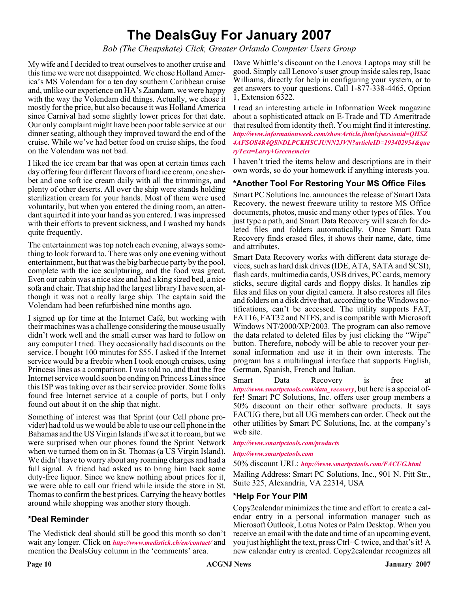## **The DealsGuy For January 2007**

#### *Bob (The Cheapskate) Click, Greater Orlando Computer Users Group*

My wife and I decided to treat ourselves to another cruise and this time we were not disappointed. We chose Holland America's MS Volendam for a ten day southern Caribbean cruise and, unlike our experience on HA's Zaandam, we were happy with the way the Volendam did things. Actually, we chose it mostly for the price, but also because it was Holland America since Carnival had some slightly lower prices for that date. Our only complaint might have been poor table service at our dinner seating, although they improved toward the end of the cruise. While we've had better food on cruise ships, the food on the Volendam was not bad.

I liked the ice cream bar that was open at certain times each day offering four different flavors of hard ice cream, one sherbet and one soft ice cream daily with all the trimmings, and plenty of other deserts. All over the ship were stands holding sterilization cream for your hands. Most of them were used voluntarily, but when you entered the dining room, an attendant squirted it into your hand as you entered. I was impressed with their efforts to prevent sickness, and I washed my hands quite frequently.

The entertainment was top notch each evening, always something to look forward to. There was only one evening without entertainment, but that was the big barbecue party by the pool, complete with the ice sculpturing, and the food was great. Even our cabin was a nice size and had a king sized bed, a nice sofa and chair. That ship had the largest library I have seen, although it was not a really large ship. The captain said the Volendam had been refurbished nine months ago.

I signed up for time at the Internet Café, but working with their machines was a challenge considering the mouse usually didn't work well and the small curser was hard to follow on any computer I tried. They occasionally had discounts on the service. I bought 100 minutes for \$55. I asked if the Internet service would be a freebie when I took enough cruises, using Princess lines as a comparison. I was told no, and that the free Internet service would soon be ending on Princess Lines since this ISP was taking over as their service provider. Some folks found free Internet service at a couple of ports, but I only found out about it on the ship that night.

Something of interest was that Sprint (our Cell phone provider) had told us we would be able to use our cell phone in the Bahamas and the US Virgin Islands if we set it to roam, but we were surprised when our phones found the Sprint Network when we turned them on in St. Thomas (a US Virgin Island). We didn't have to worry about any roaming charges and had a full signal. A friend had asked us to bring him back some duty-free liquor. Since we knew nothing about prices for it, we were able to call our friend while inside the store in St. Thomas to confirm the best prices. Carrying the heavy bottles around while shopping was another story though.

### **\*Deal Reminder**

The Medistick deal should still be good this month so don't wait any longer. Click on *<http://www.medistick.ch/en/contact/>* and mention the DealsGuy column in the 'comments' area.

Dave Whittle's discount on the Lenova Laptops may still be good. Simply call Lenovo's user group inside sales rep, Isaac Williams, directly for help in configuring your system, or to get answers to your questions. Call 1-877-338-4465, Option 1, Extension 6322.

I read an interesting article in Information Week magazine about a sophisticated attack on E-Trade and TD Ameritrade that resulted from identity theft. You might find it interesting.

*[http://www.informationweek.com/showArticle.jhtml;jsessionid=QHSZ](http://www.informationweek.com/showArticle.jhtml) 4AFSOS4R4QSNDLPCKHSCJUNN2JVN?articleID=193402954&que ryText=Larry+Greenemeier*

I haven't tried the items below and descriptions are in their own words, so do your homework if anything interests you.

#### **\*Another Tool For Restoring Your MS Office Files**

Smart PC Solutions Inc. announces the release of Smart Data Recovery, the newest freeware utility to restore MS Office documents, photos, music and many other types of files. You just type a path, and Smart Data Recovery will search for deleted files and folders automatically. Once Smart Data Recovery finds erased files, it shows their name, date, time and attributes.

Smart Data Recovery works with different data storage devices, such as hard disk drives (IDE, ATA, SATA and SCSI), flash cards, multimedia cards, USB drives, PC cards, memory sticks, secure digital cards and floppy disks. It handles zip files and files on your digital camera. It also restores all files and folders on a disk drive that, according to the Windows notifications, can't be accessed. The utility supports FAT, FAT16, FAT32 and NTFS, and is compatible with Microsoft Windows NT/2000/XP/2003. The program can also remove the data related to deleted files by just clicking the "Wipe" button. Therefore, nobody will be able to recover your personal information and use it in their own interests. The program has a multilingual interface that supports English, German, Spanish, French and Italian.

Smart Data Recovery is free at *[http://www.smartpctools.com/data\\_recovery](http://www.smartpctools.com/data_recovery)*, but here is a special offer! Smart PC Solutions, Inc. offers user group members a 50% discount on their other software products. It says FACUG there, but all UG members can order. Check out the other utilities by Smart PC Solutions, Inc. at the company's web site.

#### *<http://www.smartpctools.com/products>*

*<http://www.smartpctools.com>*

50% discount URL: *<http://www.smartpctools.com/FACUG.html>*

Mailing Address: Smart PC Solutions, Inc., 901 N. Pitt Str., Suite 325, Alexandria, VA 22314, USA

#### **\*Help For Your PIM**

Copy2calendar minimizes the time and effort to create a calendar entry in a personal information manager such as Microsoft Outlook, Lotus Notes or Palm Desktop. When you receive an email with the date and time of an upcoming event, you just highlight the text, press Ctrl+C twice, and that's it! A new calendar entry is created. Copy2calendar recognizes all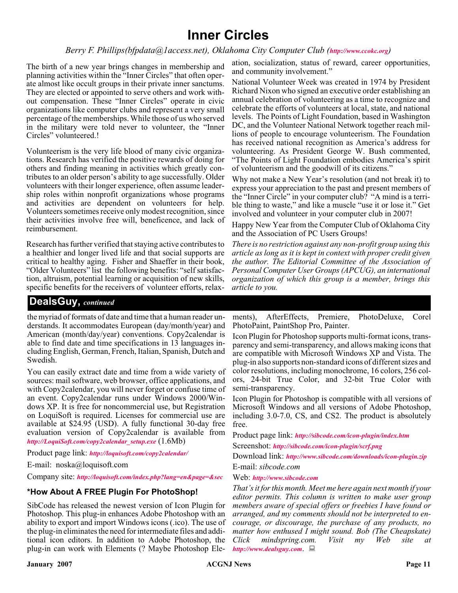## **Inner Circles**

#### *Berry F. Phillips(bfpdata@1access.net), Oklahoma City Computer Club (<http://www.ccokc.org>)*

The birth of a new year brings changes in membership and planning activities within the "Inner Circles" that often operate almost like occult groups in their private inner sanctums. They are elected or appointed to serve others and work without compensation. These "Inner Circles" operate in civic organizations like computer clubs and represent a very small percentage of the memberships. While those of us who served in the military were told never to volunteer, the "Inner Circles" volunteered.!

Volunteerism is the very life blood of many civic organizations. Research has verified the positive rewards of doing for others and finding meaning in activities which greatly contributes to an older person's ability to age successfully. Older volunteers with their longer experience, often assume leadership roles within nonprofit organizations whose programs and activities are dependent on volunteers for help. Volunteers sometimes receive only modest recognition, since their activities involve free will, beneficence, and lack of reimbursement.

Research has further verified that staying active contributes to a healthier and longer lived life and that social supports are critical to healthy aging. Fisher and Shaeffer in their book, "Older Volunteers" list the following benefits: "self satisfaction, altruism, potential learning or acquisition of new skills, specific benefits for the receivers of volunteer efforts, relax-

ation, socialization, status of reward, career opportunities, and community involvement."

National Volunteer Week was created in 1974 by President Richard Nixon who signed an executive order establishing an annual celebration of volunteering as a time to recognize and celebrate the efforts of volunteers at local, state, and national levels. The Points of Light Foundation, based in Washington DC, and the Volunteer National Network together reach millions of people to encourage volunteerism. The Foundation has received national recognition as America's address for volunteering. As President George W. Bush commented, "The Points of Light Foundation embodies America's spirit of volunteerism and the goodwill of its citizens."

Why not make a New Year's resolution (and not break it) to express your appreciation to the past and present members of the "Inner Circle" in your computer club? "A mind is a terrible thing to waste," and like a muscle "use it or lose it." Get involved and volunteer in your computer club in 2007!

Happy New Year from the Computer Club of Oklahoma City and the Association of PC Users Groups!

*There is no restriction against any non-profit group using this article as long as it is kept in context with proper credit given the author. The Editorial Committee of the Association of Personal Computer User Groups (APCUG), an international organization of which this group is a member, brings this article to you.*

### **DealsGuy,** *continued*

the myriad of formats of date and time that a human reader understands. It accommodates European (day/month/year) and American (month/day/year) conventions. Copy2calendar is able to find date and time specifications in 13 languages including English, German, French, Italian, Spanish, Dutch and Swedish.

You can easily extract date and time from a wide variety of sources: mail software, web browser, office applications, and with Copy2calendar, you will never forget or confuse time of an event. Copy2calendar runs under Windows 2000/Windows XP. It is free for noncommercial use, but Registration on LoquiSoft is required. Licenses for commercial use are available at \$24.95 (USD). A fully functional 30-day free evaluation version of Copy2calendar is available from *[http://LoquiSoft.com/copy2calendar\\_setup.exe](http://LoquiSoft.com/copy2calendar_setup.exe)* (1.6Mb)

Product page link: *<http://loquisoft.com/copy2calendar/>*

E-mail: noska@loquisoft.com

Company site: *<http://loquisoft.com/index.php?lang=en&page=&sec>*

#### **\*How About A FREE Plugin For PhotoShop!**

SibCode has released the newest version of Icon Plugin for Photoshop. This plug-in enhances Adobe Photoshop with an ability to export and import Windows icons (.ico). The use of the plug-in eliminates the need for intermediate files and additional icon editors. In addition to Adobe Photoshop, the plug-in can work with Elements (? Maybe Photoshop Ele-

ments), AfterEffects, Premiere, PhotoDeluxe, Corel PhotoPaint, PaintShop Pro, Painter.

Icon Plugin for Photoshop supports multi-format icons, transparency and semi-transparency, and allows making icons that are compatible with Microsoft Windows XP and Vista. The plug-in also supports non-standard icons of different sizes and color resolutions, including monochrome, 16 colors, 256 colors, 24-bit True Color, and 32-bit True Color with semi-transparency.

Icon Plugin for Photoshop is compatible with all versions of Microsoft Windows and all versions of Adobe Photoshop, including 3.0-7.0, CS, and CS2. The product is absolutely free.

Product page link: *<http://sibcode.com/icon-plugin/index.htm>* Screenshot: *<http://sibcode.com/icon-plugin/scrf.png>*

Download link: *<http://www.sibcode.com/downloads/icon-plugin.zip>* E-mail: *sibcode.com*

Web: *<http://www.sibcode.com>*

*That's it for this month. Meet me here again next month if your editor permits. This column is written to make user group members aware of special offers or freebies I have found or arranged, and my comments should not be interpreted to encourage, or discourage, the purchase of any products, no matter how enthused I might sound. Bob (The Cheapskate) Click mindspring.com. Visit my Web site at <http://www.dealsguy.com>*.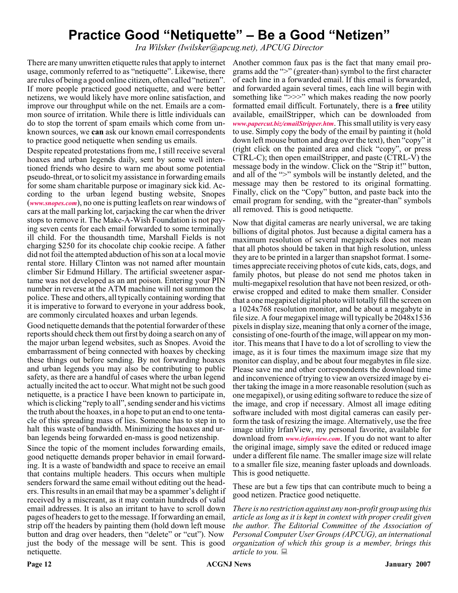## **Practice Good "Netiquette" – Be a Good "Netizen"**

*Ira Wilsker (Iwilsker@apcug.net), APCUG Director*

There are many unwritten etiquette rules that apply to internet Another common faux pas is the fact that many email prousage, commonly referred to as "netiquette". Likewise, there are rules of being a good online citizen, often called "netizen". If more people practiced good netiquette, and were better netizens, we would likely have more online satisfaction, and improve our throughput while on the net. Emails are a common source of irritation. While there is little individuals can do to stop the torrent of spam emails which come from unknown sources, we **can** ask our known email correspondents to practice good netiquette when sending us emails.

Despite repeated protestations from me, I still receive several hoaxes and urban legends daily, sent by some well intentioned friends who desire to warn me about some potential pseudo-threat, or to solicit my assistance in forwarding emails for some sham charitable purpose or imaginary sick kid. According to the urban legend busting website, Snopes (*[www.snopes.com](http://www.snopes.com)*), no one is putting leaflets on rear windows of cars at the mall parking lot, carjacking the car when the driver stops to remove it. The Make-A-Wish Foundation is not paying seven cents for each email forwarded to some terminally ill child. For the thousandth time, Marshall Fields is not charging \$250 for its chocolate chip cookie recipe. A father did not foil the attempted abduction of his son at a local movie rental store. Hillary Clinton was not named after mountain climber Sir Edmund Hillary. The artificial sweetener aspartame was not developed as an ant poison. Entering your PIN number in reverse at the ATM machine will not summon the police. These and others, all typically containing wording that it is imperative to forward to everyone in your address book, are commonly circulated hoaxes and urban legends.

Good netiquette demands that the potential forwarder of these reports should check them out first by doing a search on any of the major urban legend websites, such as Snopes. Avoid the embarrassment of being connected with hoaxes by checking these things out before sending. By not forwarding hoaxes and urban legends you may also be contributing to public safety, as there are a handful of cases where the urban legend actually incited the act to occur. What might not be such good netiquette, is a practice I have been known to participate in, which is clicking "reply to all", sending sender and his victims the truth about the hoaxes, in a hope to put an end to one tentacle of this spreading mass of lies. Someone has to step in to halt this waste of bandwidth. Minimizing the hoaxes and urban legends being forwarded en-mass is good netizenship.

Since the topic of the moment includes forwarding emails, good netiquette demands proper behavior in email forwarding. It is a waste of bandwidth and space to receive an email that contains multiple headers. This occurs when multiple senders forward the same email without editing out the headers. This results in an email that may be a spammer's delight if received by a miscreant, as it may contain hundreds of valid email addresses. It is also an irritant to have to scroll down pages of headers to get to the message. If forwarding an email, strip off the headers by painting them (hold down left mouse button and drag over headers, then "delete" or "cut"). Now just the body of the message will be sent. This is good netiquette.

grams add the ">" (greater-than) symbol to the first character of each line in a forwarded email. If this email is forwarded, and forwarded again several times, each line will begin with something like ">>>" which makes reading the now poorly formatted email difficult. Fortunately, there is a **free** utility available, emailStripper, which can be downloaded from *[www.papercut.biz/emailStripper.htm](http://www.papercut.biz/emailStripper.htm)*. This small utility is very easy to use. Simply copy the body of the email by painting it (hold down left mouse button and drag over the text), then "copy" it (right click on the painted area and click "copy", or press CTRL-C); then open emailStripper, and paste (CTRL-V) the message body in the window. Click on the "Strip it!" button, and all of the ">" symbols will be instantly deleted, and the message may then be restored to its original formatting. Finally, click on the "Copy" button, and paste back into the email program for sending, with the "greater-than" symbols all removed. This is good netiquette.

Now that digital cameras are nearly universal, we are taking billions of digital photos. Just because a digital camera has a maximum resolution of several megapixels does not mean that all photos should be taken in that high resolution, unless they are to be printed in a larger than snapshot format. I sometimes appreciate receiving photos of cute kids, cats, dogs, and family photos, but please do not send me photos taken in multi-megapixel resolution that have not been resized, or otherwise cropped and edited to make them smaller. Consider that a one megapixel digital photo will totally fill the screen on a 1024x768 resolution monitor, and be about a megabyte in file size. A four megapixel image will typically be 2048x1536 pixels in display size, meaning that only a corner of the image, consisting of one-fourth of the image, will appear on my monitor. This means that I have to do a lot of scrolling to view the image, as it is four times the maximum image size that my monitor can display, and be about four megabytes in file size. Please save me and other correspondents the download time and inconvenience of trying to view an oversized image by either taking the image in a more reasonable resolution (such as one megapixel), or using editing software to reduce the size of the image, and crop if necessary. Almost all image editing software included with most digital cameras can easily perform the task of resizing the image. Alternatively, use the free image utility IrfanView, my personal favorite, available for download from *[www.irfanview.com](http://www.irfanview.com)*. If you do not want to alter the original image, simply save the edited or reduced image under a different file name. The smaller image size will relate to a smaller file size, meaning faster uploads and downloads. This is good netiquette.

These are but a few tips that can contribute much to being a good netizen. Practice good netiquette.

*There is no restriction against any non-profit group using this article as long as it is kept in context with proper credit given the author. The Editorial Committee of the Association of Personal Computer User Groups (APCUG), an international organization of which this group is a member, brings this article to you.*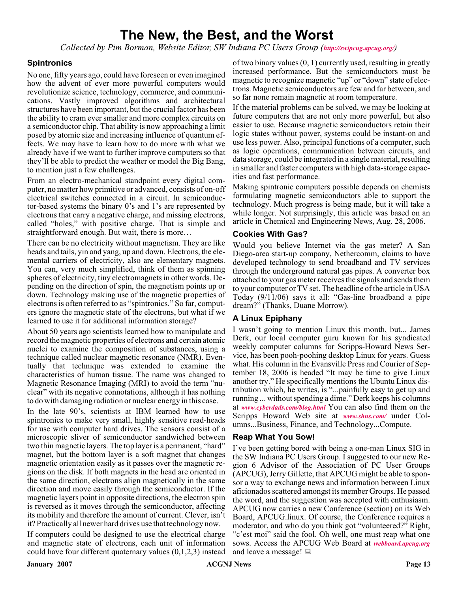## **The New, the Best, and the Worst**

*Collected by Pim Borman, Website Editor, SW Indiana PC Users Group (<http://swipcug.apcug.org/>)*

#### **Spintronics**

No one, fifty years ago, could have foreseen or even imagined how the advent of ever more powerful computers would revolutionize science, technology, commerce, and communications. Vastly improved algorithms and architectural structures have been important, but the crucial factor has been the ability to cram ever smaller and more complex circuits on a semiconductor chip. That ability is now approaching a limit posed by atomic size and increasing influence of quantum effects. We may have to learn how to do more with what we already have if we want to further improve computers so that they'll be able to predict the weather or model the Big Bang, to mention just a few challenges.

From an electro-mechanical standpoint every digital computer, no matter how primitive or advanced, consists of on-off electrical switches connected in a circuit. In semiconductor-based systems the binary 0's and 1's are represented by electrons that carry a negative charge, and missing electrons, called "holes," with positive charge. That is simple and straightforward enough. But wait, there is more…

There can be no electricity without magnetism. They are like heads and tails, yin and yang, up and down. Electrons, the elemental carriers of electricity, also are elementary magnets. You can, very much simplified, think of them as spinning spheres of electricity, tiny electromagnets in other words. Depending on the direction of spin, the magnetism points up or down. Technology making use of the magnetic properties of electrons is often referred to as "spintronics." So far, computers ignore the magnetic state of the electrons, but what if we learned to use it for additional information storage?

About 50 years ago scientists learned how to manipulate and record the magnetic properties of electrons and certain atomic nuclei to examine the composition of substances, using a technique called nuclear magnetic resonance (NMR). Eventually that technique was extended to examine the characteristics of human tissue. The name was changed to Magnetic Resonance Imaging (MRI) to avoid the term "nuclear" with its negative connotations, although it has nothing to do with damaging radiation or nuclear energy in this case.

In the late 90's, scientists at IBM learned how to use spintronics to make very small, highly sensitive read-heads for use with computer hard drives. The sensors consist of a microscopic sliver of semiconductor sandwiched between two thin magnetic layers. The top layer is a permanent, "hard" magnet, but the bottom layer is a soft magnet that changes magnetic orientation easily as it passes over the magnetic regions on the disk. If both magnets in the head are oriented in the same direction, electrons align magnetically in the same direction and move easily through the semiconductor. If the magnetic layers point in opposite directions, the electron spin is reversed as it moves through the semiconductor, affecting its mobility and therefore the amount of current. Clever, isn't it? Practically all newer hard drives use that technology now.

If computers could be designed to use the electrical charge and magnetic state of electrons, each unit of information could have four different quaternary values (0,1,2,3) instead

of two binary values (0, 1) currently used, resulting in greatly increased performance. But the semiconductors must be magnetic to recognize magnetic "up" or "down" state of electrons. Magnetic semiconductors are few and far between, and so far none remain magnetic at room temperature.

If the material problems can be solved, we may be looking at future computers that are not only more powerful, but also easier to use. Because magnetic semiconductors retain their logic states without power, systems could be instant-on and use less power. Also, principal functions of a computer, such as logic operations, communication between circuits, and data storage, could be integrated in a single material, resulting in smaller and faster computers with high data-storage capacities and fast performance.

Making spintronic computers possible depends on chemists formulating magnetic semiconductors able to support the technology. Much progress is being made, but it will take a while longer. Not surprisingly, this article was based on an article in Chemical and Engineering News, Aug. 28, 2006.

#### **Cookies With Gas?**

Would you believe Internet via the gas meter? A San Diego-area start-up company, Nethercomm, claims to have developed technology to send broadband and TV services through the underground natural gas pipes. A converter box attached to your gas meter receives the signals and sends them to your computer or TV set. The headline of the article in USA Today (9/11/06) says it all: "Gas-line broadband a pipe dream?" (Thanks, Duane Morrow).

#### **A Linux Epiphany**

I wasn't going to mention Linux this month, but... James Derk, our local computer guru known for his syndicated weekly computer columns for Scripps-Howard News Service, has been pooh-poohing desktop Linux for years. Guess what. His column in the Evansville Press and Courier of September 18, 2006 is headed "It may be time to give Linux another try." He specifically mentions the Ubuntu Linux distribution which, he writes, is "...painfully easy to get up and running ... without spending a dime." Derk keeps his columns at *[www.cyberdads.com/blog.html](http://www.cyberdads.com/blog.html)* You can also find them on the Scripps Howard Web site at *[www.shns.com/](http://www.shns.com/)* under Columns...Business, Finance, and Technology...Compute.

#### **Reap What You Sow!**

I've been getting bored with being a one-man Linux SIG in the SW Indiana PC Users Group. I suggested to our new Region 6 Advisor of the Association of PC User Groups (APCUG), Jerry Gillette, that APCUG might be able to sponsor a way to exchange news and information between Linux aficionados scattered amongst its member Groups. He passed the word, and the suggestion was accepted with enthusiasm. APCUG now carries a new Conference (section) on its Web Board, APCUG.linux. Of course, the Conference requires a moderator, and who do you think got "volunteered?" Right, "c'est moi" said the fool. Oh well, one must reap what one sows. Access the APCUG Web Board at *[webboard.apcug.org](http://)* and leave a message!  $\Box$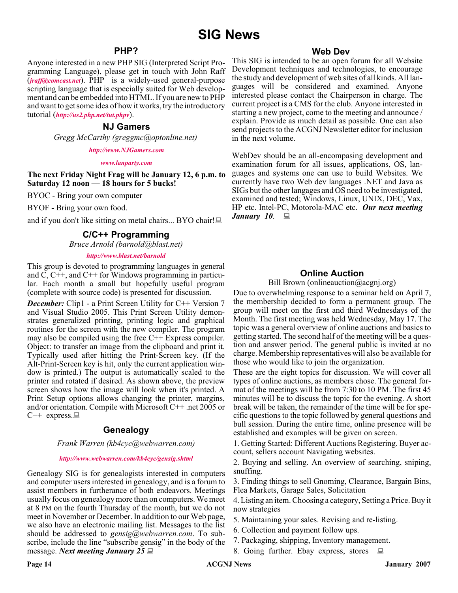### **PHP?**

Anyone interested in a new PHP SIG (Interpreted Script Programming Language), please get in touch with John Raff (*[jraff@comcast.net](mailto:jraff@comcast.net)*). PHP is a widely-used general-purpose scripting language that is especially suited for Web development and can be embedded into HTML. If you are new to PHP and want to get some idea of how it works, try the introductory tutorial (*<http://us2.php.net/tut.phpv>*).

#### **NJ Gamers**

*Gregg McCarthy (greggmc@optonline.net)*

*<http://www.NJGamers.com>*

#### *[www.lanparty.com](http://www.lanparty.com)*

**The next Friday Night Frag will be January 12, 6 p.m. to Saturday 12 noon — 18 hours for 5 bucks!**

BYOC - Bring your own computer

BYOF - Bring your own food.

and if you don't like sitting on metal chairs... BYO chair!

#### **C/C++ Programming**

*Bruce Arnold (barnold@blast.net)*

#### *<http://www.blast.net/barnold>*

This group is devoted to programming languages in general and  $\dot{C}$ , C++, and C++ for Windows programming in particular. Each month a small but hopefully useful program (complete with source code) is presented for discussion.

*December:* Clip1 - a Print Screen Utility for C++ Version 7 and Visual Studio 2005. This Print Screen Utility demonstrates generalized printing, printing logic and graphical routines for the screen with the new compiler. The program may also be compiled using the free C++ Express compiler. Object: to transfer an image from the clipboard and print it. Typically used after hitting the Print-Screen key. (If the Alt-Print-Screen key is hit, only the current application window is printed.) The output is automatically scaled to the printer and rotated if desired. As shown above, the preview screen shows how the image will look when it's printed. A Print Setup options allows changing the printer, margins, and/or orientation. Compile with Microsoft C++ .net 2005 or  $C++$  express.

#### **Genealogy**

#### *Frank Warren (kb4cyc@webwarren.com)*

#### *<http://www.webwarren.com/kb4cyc/gensig.shtml>*

Genealogy SIG is for genealogists interested in computers and computer users interested in genealogy, and is a forum to assist members in furtherance of both endeavors. Meetings usually focus on genealogy more than on computers. We meet at 8 PM on the fourth Thursday of the month, but we do not meet in November or December. In addition to our Web page, we also have an electronic mailing list. Messages to the list should be addressed to *gensig@webwarren.com*. To subscribe, include the line "subscribe gensig" in the body of the message. *Next meeting January 25*

#### **Web Dev**

This SIG is intended to be an open forum for all Website Development techniques and technologies, to encourage the study and development of web sites of all kinds. All languages will be considered and examined. Anyone interested please contact the Chairperson in charge. The current project is a CMS for the club. Anyone interested in starting a new project, come to the meeting and announce / explain. Provide as much detail as possible. One can also send projects to the ACGNJ Newsletter editor for inclusion in the next volume.

WebDev should be an all-encompasing development and examination forum for all issues, applications, OS, languages and systems one can use to build Websites. We currently have two Web dev languages .NET and Java as SIGs but the other langages and OS need to be investigated, examined and tested; Windows, Linux, UNIX, DEC, Vax, HP etc. Intel-PC, Motorola-MAC etc. *Our next meeting January 10*.

#### **Online Auction**

Bill Brown (onlineauction  $(a)$  acgniorg)

Due to overwhelming response to a seminar held on April 7, the membership decided to form a permanent group. The group will meet on the first and third Wednesdays of the Month. The first meeting was held Wednesday, May 17. The topic was a general overview of online auctions and basics to getting started. The second half of the meeting will be a question and answer period. The general public is invited at no charge. Membership representatives will also be available for those who would like to join the organization.

These are the eight topics for discussion. We will cover all types of online auctions, as members chose. The general format of the meetings will be from 7:30 to 10 PM. The first 45 minutes will be to discuss the topic for the evening. A short break will be taken, the remainder of the time will be for specific questions to the topic followed by general questions and bull session. During the entire time, online presence will be established and examples will be given on screen.

1. Getting Started: Different Auctions Registering. Buyer account, sellers account Navigating websites.

2. Buying and selling. An overview of searching, sniping, snuffing.

3. Finding things to sell Gnoming, Clearance, Bargain Bins, Flea Markets, Garage Sales, Solicitation

4. Listing an item. Choosing a category, Setting a Price. Buy it now strategies

- 5. Maintaining your sales. Revising and re-listing.
- 6. Collection and payment follow ups.
- 7. Packaging, shipping, Inventory management.
- 8. Going further. Ebay express, stores  $\Box$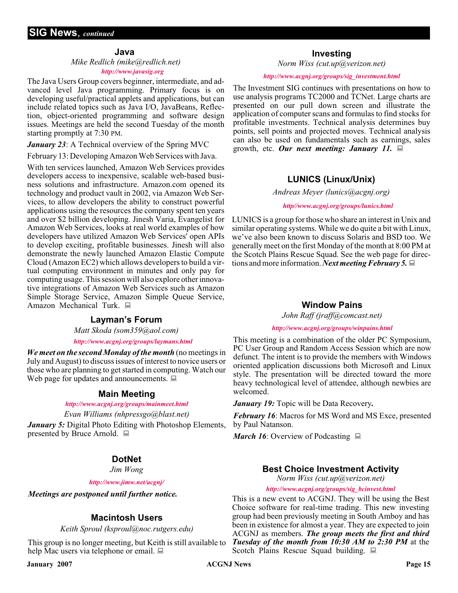#### **Java**

#### *Mike Redlich (mike@redlich.net)*

#### *<http://www.javasig.org>*

The Java Users Group covers beginner, intermediate, and advanced level Java programming. Primary focus is on developing useful/practical applets and applications, but can include related topics such as Java I/O, JavaBeans, Reflection, object-oriented programming and software design issues. Meetings are held the second Tuesday of the month starting promptly at 7:30 PM.

*January 23*: A Technical overview of the Spring MVC

February 13: Developing Amazon Web Services with Java.

With ten services launched, Amazon Web Services provides developers access to inexpensive, scalable web-based business solutions and infrastructure. Amazon.com opened its technology and product vault in 2002, via Amazon Web Services, to allow developers the ability to construct powerful applications using the resources the company spent ten years and over \$2 billion developing. Jinesh Varia, Evangelist for Amazon Web Services, looks at real world examples of how developers have utilized Amazon Web Services' open APIs to develop exciting, profitable businesses. Jinesh will also demonstrate the newly launched Amazon Elastic Compute Cloud (Amazon EC2) which allows developers to build a virtual computing environment in minutes and only pay for computing usage. This session will also explore other innovative integrations of Amazon Web Services such as Amazon Simple Storage Service, Amazon Simple Queue Service, Amazon Mechanical Turk.  $\Box$ 

#### **Layman's Forum**

*Matt Skoda (som359@aol.com)*

#### *<http://www.acgnj.org/groups/laymans.html>*

*We meet on the second Monday of the month* (no meetings in July and August) to discuss issues of interest to novice users or those who are planning to get started in computing. Watch our Web page for updates and announcements.  $\Box$ 

#### **Main Meeting**

#### *<http://www.acgnj.org/groups/mainmeet.html>*

*Evan Williams (nhpressgo@blast.net)*

*January 5:* Digital Photo Editing with Photoshop Elements, presented by Bruce Arnold.

### **DotNet**

*Jim Wong*

*<http://www.jimw.net/acgnj/>*

*Meetings are postponed until further notice.*

#### **Macintosh Users**

*Keith Sproul (ksproul@noc.rutgers.edu)*

This group is no longer meeting, but Keith is still available to help Mac users via telephone or email.

#### **Investing**

*Norm Wiss (cut.up@verizon.net)*

#### *[http://www.acgnj.org/groups/sig\\_investment.html](http://www.acgnj.org/groups/sig_investment.html)*

The Investment SIG continues with presentations on how to use analysis programs TC2000 and TCNet. Large charts are presented on our pull down screen and illustrate the application of computer scans and formulas to find stocks for profitable investments. Technical analysis determines buy points, sell points and projected moves. Technical analysis can also be used on fundamentals such as earnings, sales growth, etc. *Our next meeting: January 11.*

#### **LUNICS (Linux/Unix)**

*Andreas Meyer (lunics@acgnj.org)*

*<http//www.acgnj.org/groups/lunics.html>*

LUNICS is a group for those who share an interest in Unix and similar operating systems. While we do quite a bit with Linux, we've also been known to discuss Solaris and BSD too. We generally meet on the first Monday of the month at 8:00 PM at the Scotch Plains Rescue Squad. See the web page for directions and more information. *Next meeting February 5.*

#### **Window Pains**

*John Raff (jraff@comcast.net)*

#### *<http://www.acgnj.org/groups/winpains.html>*

This meeting is a combination of the older PC Symposium, PC User Group and Random Access Session which are now defunct. The intent is to provide the members with Windows oriented application discussions both Microsoft and Linux style. The presentation will be directed toward the more heavy technological level of attendee, although newbies are welcomed.

*January 19:* Topic will be Data Recovery*.*

*February 16*: Macros for MS Word and MS Exce, presented by Paul Natanson.

*March 16*: Overview of Podcasting ■

#### **Best Choice Investment Activity**

*Norm Wiss (cut.up@verizon.net)*

*[http://www.acgnj.org/groups/sig\\_bcinvest.html](http://www.acgnj.org/groups/sig_bcinvest.html)*

This is a new event to ACGNJ. They will be using the Best Choice software for real-time trading. This new investing group had been previously meeting in South Amboy and has been in existence for almost a year. They are expected to join ACGNJ as members. *The group meets the first and third Tuesday of the month from 10:30 AM to 2:30 PM* at the Scotch Plains Rescue Squad building.  $\Box$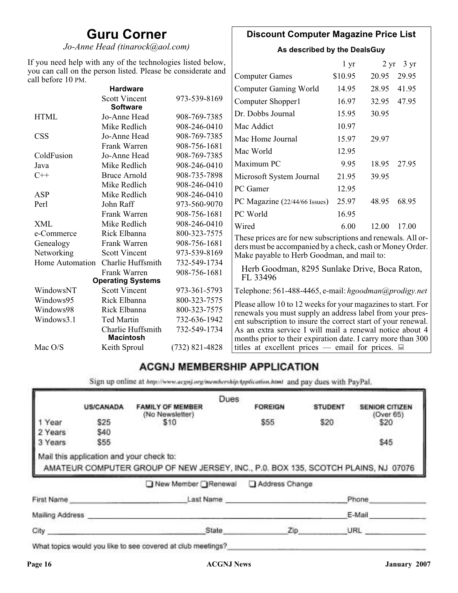## **Guru Corner**

*Jo-Anne Head (tinarock@aol.com)*

### **Discount Computer Magazine Price List**

**As described by the DealsGuy**

| If you need help with any of the technologies listed below,<br>you can call on the person listed. Please be considerate and |                                         |                  | $1 \, yr$                                                     |         | $2 \text{ yr}$ 3 yr |       |
|-----------------------------------------------------------------------------------------------------------------------------|-----------------------------------------|------------------|---------------------------------------------------------------|---------|---------------------|-------|
| call before 10 PM.                                                                                                          |                                         |                  | <b>Computer Games</b>                                         | \$10.95 | 20.95               | 29.95 |
|                                                                                                                             | <b>Hardware</b>                         |                  | <b>Computer Gaming World</b>                                  | 14.95   | 28.95               | 41.95 |
|                                                                                                                             | <b>Scott Vincent</b><br><b>Software</b> | 973-539-8169     | Computer Shopper1                                             | 16.97   | 32.95               | 47.95 |
| <b>HTML</b>                                                                                                                 | Jo-Anne Head                            | 908-769-7385     | Dr. Dobbs Journal                                             | 15.95   | 30.95               |       |
|                                                                                                                             | Mike Redlich                            | 908-246-0410     | Mac Addict                                                    | 10.97   |                     |       |
| <b>CSS</b>                                                                                                                  | Jo-Anne Head                            | 908-769-7385     | Mac Home Journal                                              | 15.97   | 29.97               |       |
|                                                                                                                             | Frank Warren                            | 908-756-1681     | Mac World                                                     | 12.95   |                     |       |
| ColdFusion                                                                                                                  | Jo-Anne Head                            | 908-769-7385     |                                                               |         |                     |       |
| Java                                                                                                                        | Mike Redlich                            | 908-246-0410     | Maximum PC                                                    | 9.95    | 18.95               | 27.95 |
| $C++$                                                                                                                       | <b>Bruce Arnold</b>                     | 908-735-7898     | Microsoft System Journal                                      | 21.95   | 39.95               |       |
|                                                                                                                             | Mike Redlich                            | 908-246-0410     | PC Gamer                                                      | 12.95   |                     |       |
| ASP                                                                                                                         | Mike Redlich                            | 908-246-0410     |                                                               |         |                     |       |
| Perl                                                                                                                        | John Raff                               | 973-560-9070     | PC Magazine (22/44/66 Issues)                                 | 25.97   | 48.95               | 68.95 |
|                                                                                                                             | Frank Warren                            | 908-756-1681     | PC World                                                      | 16.95   |                     |       |
| <b>XML</b>                                                                                                                  | Mike Redlich                            | 908-246-0410     | Wired                                                         | 6.00    | 12.00               | 17.00 |
| e-Commerce                                                                                                                  | Rick Elbanna                            | 800-323-7575     | These prices are for new subscriptions and renewals. All or-  |         |                     |       |
| Genealogy                                                                                                                   | Frank Warren                            | 908-756-1681     | ders must be accompanied by a check, cash or Money Order.     |         |                     |       |
| Networking                                                                                                                  | <b>Scott Vincent</b>                    | 973-539-8169     | Make payable to Herb Goodman, and mail to:                    |         |                     |       |
| Home Automation                                                                                                             | Charlie Huffsmith                       | 732-549-1734     |                                                               |         |                     |       |
|                                                                                                                             | Frank Warren                            | 908-756-1681     | Herb Goodman, 8295 Sunlake Drive, Boca Raton,<br>FL 33496     |         |                     |       |
|                                                                                                                             | <b>Operating Systems</b>                |                  |                                                               |         |                     |       |
| WindowsNT                                                                                                                   | <b>Scott Vincent</b>                    | 973-361-5793     | Telephone: 561-488-4465, e-mail: hgoodman@prodigy.net         |         |                     |       |
| Windows95                                                                                                                   | Rick Elbanna                            | 800-323-7575     | Please allow 10 to 12 weeks for your magazines to start. For  |         |                     |       |
| Windows98                                                                                                                   | Rick Elbanna                            | 800-323-7575     | renewals you must supply an address label from your pres-     |         |                     |       |
| Windows3.1                                                                                                                  | <b>Ted Martin</b>                       | 732-636-1942     | ent subscription to insure the correct start of your renewal. |         |                     |       |
|                                                                                                                             | Charlie Huffsmith                       | 732-549-1734     | As an extra service I will mail a renewal notice about 4      |         |                     |       |
|                                                                                                                             | <b>Macintosh</b>                        |                  | months prior to their expiration date. I carry more than 300  |         |                     |       |
| Mac O/S                                                                                                                     | Keith Sproul                            | $(732)$ 821-4828 | titles at excellent prices — email for prices. $\Box$         |         |                     |       |

## **ACGNJ MEMBERSHIP APPLICATION**

Sign up online at http://www.acguj.org/membershipApplication.html and pay dues with PayPal.

|                 |                                          |                                                                                   | Dues |                |                |                                    |
|-----------------|------------------------------------------|-----------------------------------------------------------------------------------|------|----------------|----------------|------------------------------------|
|                 | <b>US/CANADA</b>                         | <b>FAMILY OF MEMBER</b><br>(No Newsletter)                                        |      | <b>FOREIGN</b> | <b>STUDENT</b> | <b>SENIOR CITIZEN</b><br>(Over 65) |
| 1 Year          | \$25                                     | \$10                                                                              |      | \$55           | \$20           | \$20                               |
| 2 Years         | \$40                                     |                                                                                   |      |                |                |                                    |
| 3 Years         | \$55                                     |                                                                                   |      |                |                | \$45                               |
|                 | Mail this application and your check to: | AMATEUR COMPUTER GROUP OF NEW JERSEY, INC., P.0. BOX 135, SCOTCH PLAINS, NJ 07076 |      |                |                |                                    |
|                 |                                          | ■ New Member Renewal                                                              |      | Address Change |                |                                    |
| First Name      |                                          | Last Name                                                                         |      |                |                | Phone                              |
| Mailing Address |                                          |                                                                                   |      |                |                | E-Mail                             |

What topics would you like to see covered at club meetings?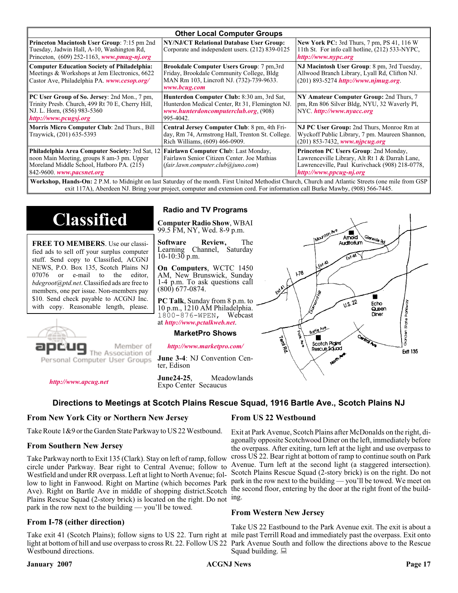| <b>Other Local Computer Groups</b>                                                                                                                        |                                                                                                                                                                                                    |  |  |  |
|-----------------------------------------------------------------------------------------------------------------------------------------------------------|----------------------------------------------------------------------------------------------------------------------------------------------------------------------------------------------------|--|--|--|
| NY/NJ/CT Relational Database User Group:<br>Corporate and independent users. (212) 839-0125                                                               | <b>New York PC:</b> 3rd Thurs, 7 pm, PS 41, 116 W<br>11th St. For info call hotline, (212) 533-NYPC,<br>http://www.nypc.org                                                                        |  |  |  |
| <b>Brookdale Computer Users Group:</b> 7 pm, 3rd<br>Friday, Brookdale Community College, Bldg<br>MAN Rm 103, Lincroft NJ. (732)-739-9633.<br>www.bcug.com | NJ Macintosh User Group: 8 pm, 3rd Tuesday,<br>Allwood Branch Library, Lyall Rd, Clifton NJ.<br>$(201) 893 - 5274$ http://www.njmug.org                                                            |  |  |  |
| Hunterdon Computer Club: 8:30 am, 3rd Sat,<br>Hunterdon Medical Center, Rt 31, Flemington NJ.<br>www.hunterdoncomputerclub.org. (908)<br>995-4042.        | NY Amateur Computer Group: 2nd Thurs, 7<br>pm, Rm 806 Silver Bldg, NYU, 32 Waverly Pl,<br>NYC http://www.nyacc.org                                                                                 |  |  |  |
| Central Jersey Computer Club: 8 pm, 4th Fri-<br>day, Rm 74, Armstrong Hall, Trenton St. College.<br>Rich Williams, (609) 466-0909.                        | NJ PC User Group: 2nd Thurs, Monroe Rm at<br>Wyckoff Public Library, 7 pm. Maureen Shannon,<br>$(201)$ 853-7432, www.nipcug.org                                                                    |  |  |  |
| Fairlawn Computer Club: Last Monday,<br>Fairlawn Senior Citizen Center. Joe Mathias<br>(fair.lawn.computer.club@juno.com)                                 | Princeton PC Users Group: 2nd Monday,<br>Lawrenceville Library, Alt Rt 1 & Darrah Lane,<br>Lawrenceville, Paul Kurivchack (908) 218-0778,<br>http://www.ppcug-nj.org                               |  |  |  |
|                                                                                                                                                           | Philadelphia Area Computer Society: 3rd Sat, 12<br>Workshop Hands-On: 2 PM to Midnight on last Saturday of the month First United Methodist Church Church and Atlantic Streets (one mile from GSP) |  |  |  |

ht on last Saturday of the month. First United Methodist Church, Church and Atlantic Streets (one mile from G exit 117A), Aberdeen NJ. Bring your project, computer and extension cord. For information call Burke Mawby, (908) 566-7445.

## **Classified**

**FREE TO MEMBERS**. Use our classified ads to sell off your surplus computer stuff. Send copy to Classified, ACGNJ NEWS, P.O. Box 135, Scotch Plains NJ 07076 or e-mail to the editor, *bdegroot@ptd.net*. Classified ads are free to members, one per issue. Non-members pay \$10. Send check payable to ACGNJ Inc. with copy. Reasonable length, please.



Member of The Association of

Personal Computer User Groups

*<http://www.apcug.net>*

#### **Radio and TV Programs**

**Computer Radio Show**, WBAI 99.5 FM, NY, Wed. 8-9 p.m.

**Software Review,** The Channel, Saturday  $10-10:30$  p.m.

**On Computers**, WCTC 1450 AM, New Brunswick, Sunday 1-4 p.m. To ask questions call (800) 677-0874.

**PC Talk**, Sunday from 8 p.m. to 10 p.m., 1210 AM Philadelphia. 1800-876-WPEN, Webcast at *<http://www.pctalkweb.net>*.

#### **MarketPro Shows**

*<http://www.marketpro.com/>*

**June 3-4**: NJ Convention Center, Edison

**June24-25**, Meadowlands

## Expo Center Secaucus

#### **Directions to Meetings at Scotch Plains Rescue Squad, 1916 Bartle Ave., Scotch Plains NJ**

#### **From New York City or Northern New Jersey**

Take Route 1&9 or the Garden State Parkway to US 22 Westbound.

#### **From Southern New Jersey**

Take Parkway north to Exit 135 (Clark). Stay on left of ramp, follow circle under Parkway. Bear right to Central Avenue; follow to Westfield and under RR overpass. Left at light to North Avenue; follow to light in Fanwood. Right on Martine (which becomes Park Ave). Right on Bartle Ave in middle of shopping district.Scotch Plains Rescue Squad (2-story brick) is located on the right. Do not ing. park in the row next to the building — you'll be towed.

#### **From I-78 (either direction)**

Take exit 41 (Scotch Plains); follow signs to US 22. Turn right at mile past Terrill Road and immediately past the overpass. Exit onto light at bottom of hill and use overpass to cross Rt. 22. Follow US 22 Park Avenue South and follow the directions above to the Rescue Westbound directions.

#### **From US 22 Westbound**

Exit at Park Avenue, Scotch Plains after McDonalds on the right, diagonally opposite Scotchwood Diner on the left, immediately before the overpass. After exiting, turn left at the light and use overpass to cross US 22. Bear right at bottom of ramp to continue south on Park Avenue. Turn left at the second light (a staggered intersection). Scotch Plains Rescue Squad (2-story brick) is on the right. Do not park in the row next to the building — you'll be towed. We meet on the second floor, entering by the door at the right front of the build-

#### **From Western New Jersey**

Take US 22 Eastbound to the Park Avenue exit. The exit is about a Squad building.  $\Box$